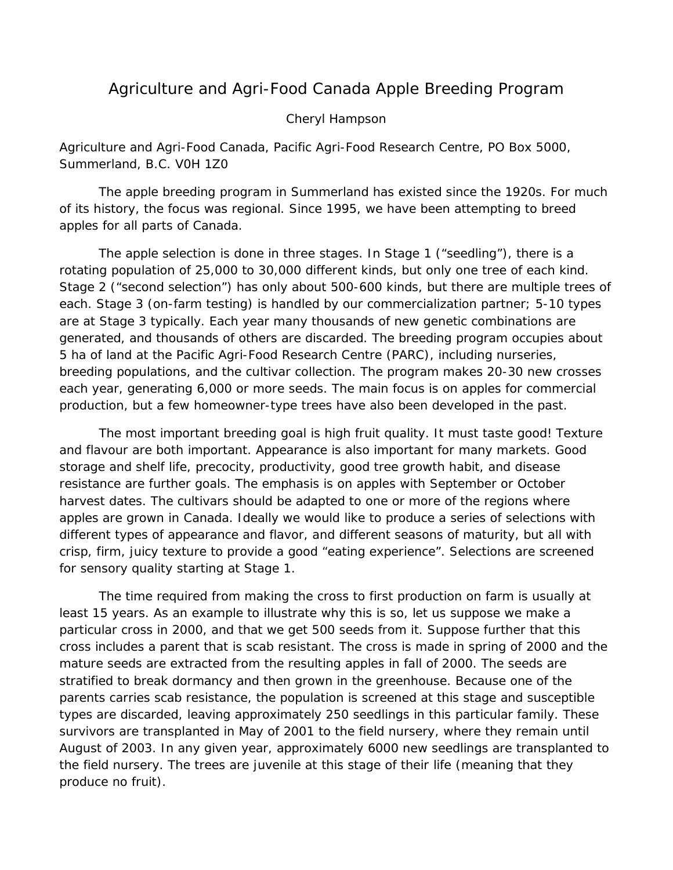## Agriculture and Agri-Food Canada Apple Breeding Program

## Cheryl Hampson

## *Agriculture and Agri-Food Canada, Pacific Agri-Food Research Centre, PO Box 5000, Summerland, B.C. V0H 1Z0*

The apple breeding program in Summerland has existed since the 1920s. For much of its history, the focus was regional. Since 1995, we have been attempting to breed apples for all parts of Canada.

The apple selection is done in three stages. In Stage 1 ("seedling"), there is a rotating population of 25,000 to 30,000 different kinds, but only one tree of each kind. Stage 2 ("second selection") has only about 500-600 kinds, but there are multiple trees of each. Stage 3 (on-farm testing) is handled by our commercialization partner; 5-10 types are at Stage 3 typically. Each year many thousands of new genetic combinations are generated, and thousands of others are discarded. The breeding program occupies about 5 ha of land at the Pacific Agri-Food Research Centre (PARC), including nurseries, breeding populations, and the cultivar collection. The program makes 20-30 new crosses each year, generating 6,000 or more seeds. The main focus is on apples for commercial production, but a few homeowner-type trees have also been developed in the past.

The most important breeding goal is high fruit quality. It must taste good! Texture and flavour are both important. Appearance is also important for many markets. Good storage and shelf life, precocity, productivity, good tree growth habit, and disease resistance are further goals. The emphasis is on apples with September or October harvest dates. The cultivars should be adapted to one or more of the regions where apples are grown in Canada. Ideally we would like to produce a series of selections with different types of appearance and flavor, and different seasons of maturity, but all with crisp, firm, juicy texture to provide a good "eating experience". Selections are screened for sensory quality starting at Stage 1.

The time required from making the cross to first production on farm is usually at least 15 years. As an example to illustrate why this is so, let us suppose we make a particular cross in 2000, and that we get 500 seeds from it. Suppose further that this cross includes a parent that is scab resistant. The cross is made in spring of 2000 and the mature seeds are extracted from the resulting apples in fall of 2000. The seeds are stratified to break dormancy and then grown in the greenhouse. Because one of the parents carries scab resistance, the population is screened at this stage and susceptible types are discarded, leaving approximately 250 seedlings in this particular family. These survivors are transplanted in May of 2001 to the field nursery, where they remain until August of 2003. In any given year, approximately 6000 new seedlings are transplanted to the field nursery. The trees are juvenile at this stage of their life (meaning that they produce no fruit).